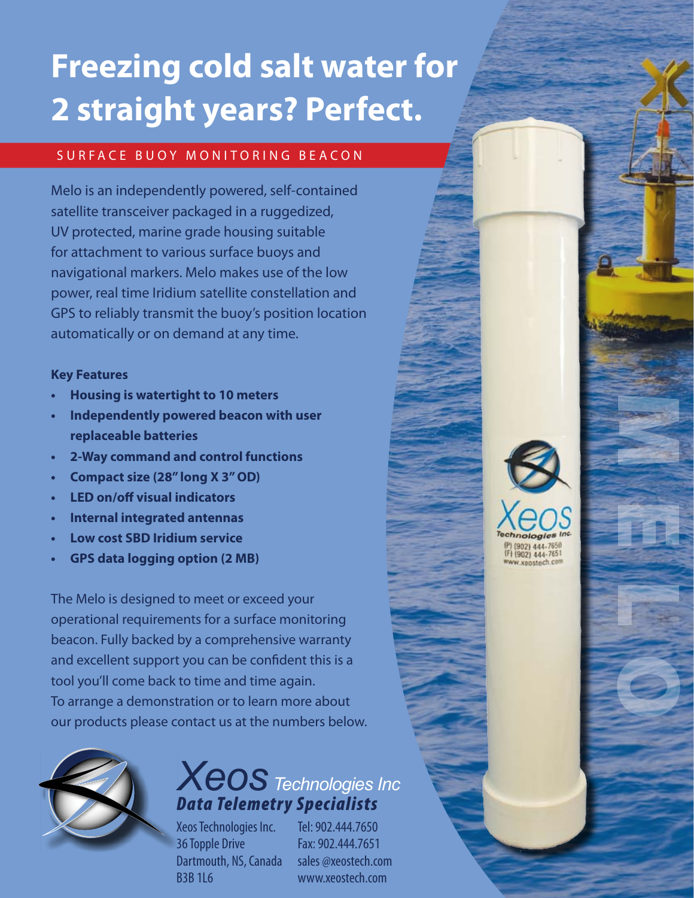## **Freezing cold salt water for 2 straight years? Perfect.**

#### SURFACE BUOY MONITORING BEACON

Melo is an independently powered, self-contained satellite transceiver packaged in a ruggedized, UV protected, marine grade housing suitable for attachment to various surface buoys and navigational markers. Melo makes use of the low power, real time Iridium satellite constellation and GPS to reliably transmit the buoy's position location automatically or on demand at any time.

#### **Key Features**

- **• Housing is watertight to 10 meters**
- **• Independently powered beacon with user replaceable batteries**
- **• 2-Way command and control functions**
- **• Compact size (28" long X 3"OD)**
- **• LED on/off visual indicators**
- **• Internal integrated antennas**
- **• Low cost SBD Iridium service**
- **• GPS data logging option (2 MB)**

The Melo is designed to meet or exceed your operational requirements for a surface monitoring beacon. Fully backed by a comprehensive warranty and excellent support you can be confident this is a tool you'll come back to time and time again. To arrange a demonstration or to learn more about our products please contact us at the numbers below.



## *Xeos Technologies Inc Data Telemetry Specialists*

Xeos Technologies Inc. 36 Topple Drive Dartmouth, NS, Canada B3B 1L6

Tel: 902.444.7650 Fax: 902.444.7651 sales @xeostech.com www.xeostech.com



MELO